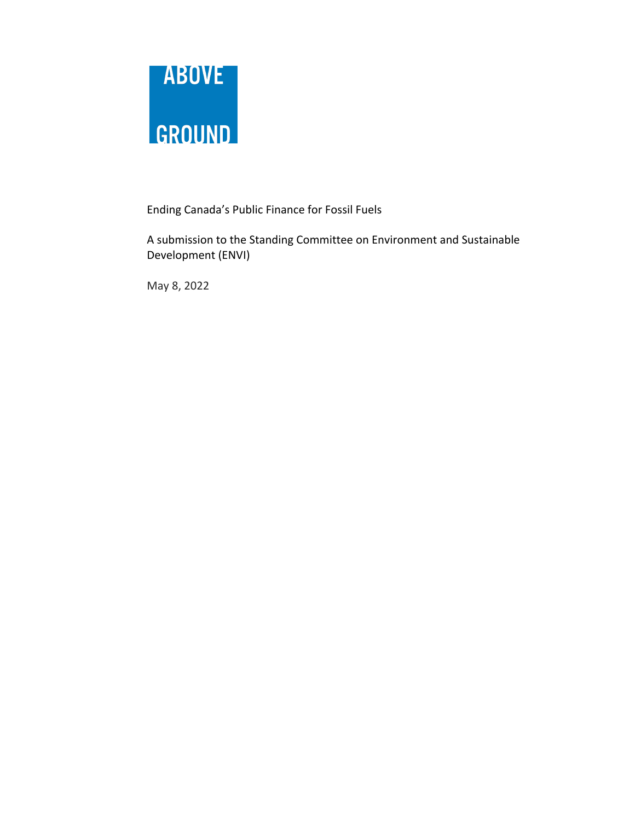

Ending Canada's Public Finance for Fossil Fuels

A submission to the Standing Committee on Environment and Sustainable Development (ENVI)

May 8, 2022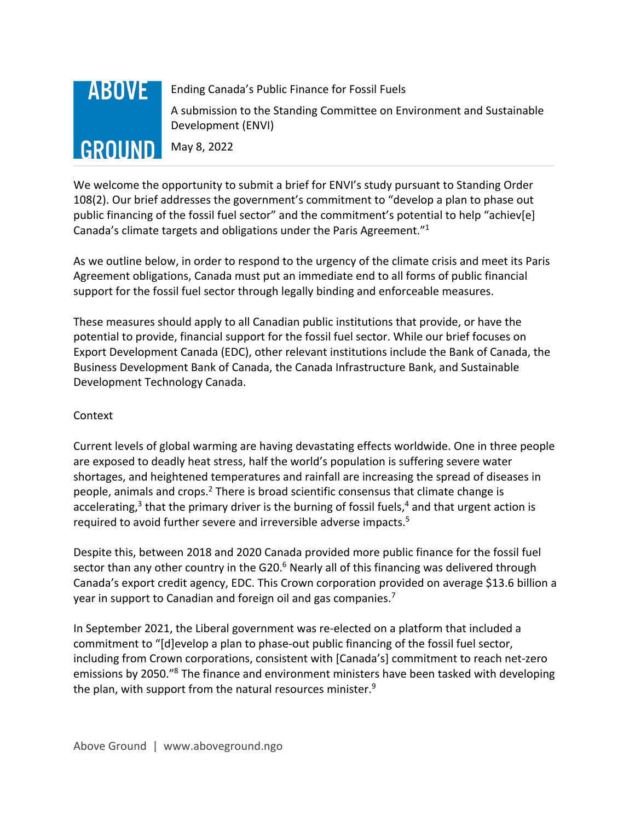# **ABOVE GROUND**

Ending Canada's Public Finance for Fossil Fuels

A submission to the Standing Committee on Environment and Sustainable Development (ENVI)

May 8, 2022

We welcome the opportunity to submit a brief for ENVI's study pursuant to Standing Order 108(2). Our brief addresses the government's commitment to "develop a plan to phase out public financing of the fossil fuel sector" and the commitment's potential to help "achiev[e] Canada's climate targets and obligations under the Paris Agreement."1

As we outline below, in order to respond to the urgency of the climate crisis and meet its Paris Agreement obligations, Canada must put an immediate end to all forms of public financial support for the fossil fuel sector through legally binding and enforceable measures.

These measures should apply to all Canadian public institutions that provide, or have the potential to provide, financial support for the fossil fuel sector. While our brief focuses on Export Development Canada (EDC), other relevant institutions include the Bank of Canada, the Business Development Bank of Canada, the Canada Infrastructure Bank, and Sustainable Development Technology Canada.

### Context

Current levels of global warming are having devastating effects worldwide. One in three people are exposed to deadly heat stress, half the world's population is suffering severe water shortages, and heightened temperatures and rainfall are increasing the spread of diseases in people, animals and crops.<sup>2</sup> There is broad scientific consensus that climate change is accelerating, $3$  that the primary driver is the burning of fossil fuels, $4$  and that urgent action is required to avoid further severe and irreversible adverse impacts.<sup>5</sup>

Despite this, between 2018 and 2020 Canada provided more public finance for the fossil fuel sector than any other country in the G20. $<sup>6</sup>$  Nearly all of this financing was delivered through</sup> Canada's export credit agency, EDC. This Crown corporation provided on average \$13.6 billion a year in support to Canadian and foreign oil and gas companies.<sup>7</sup>

In September 2021, the Liberal government was re-elected on a platform that included a commitment to "[d]evelop a plan to phase-out public financing of the fossil fuel sector, including from Crown corporations, consistent with [Canada's] commitment to reach net-zero emissions by 2050.<sup>"8</sup> The finance and environment ministers have been tasked with developing the plan, with support from the natural resources minister. $9$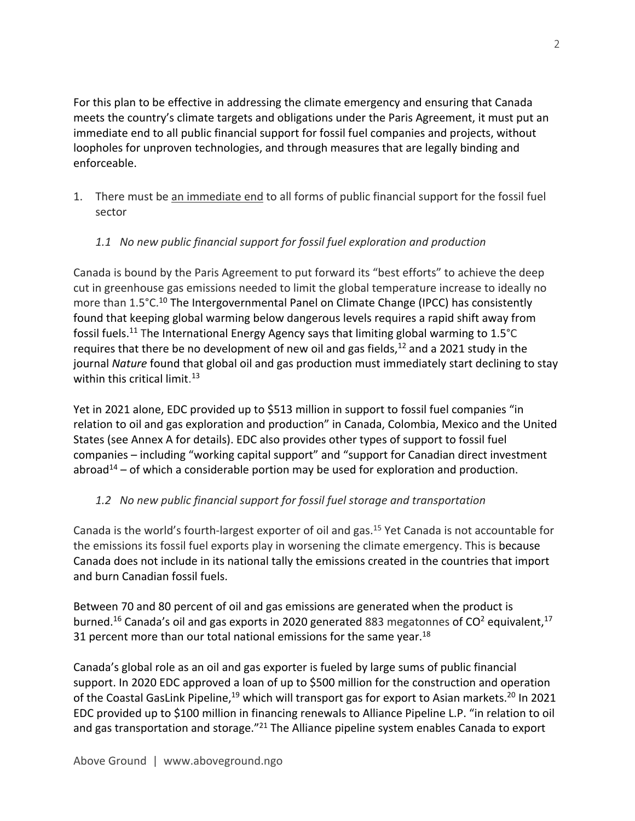For this plan to be effective in addressing the climate emergency and ensuring that Canada meets the country's climate targets and obligations under the Paris Agreement, it must put an immediate end to all public financial support for fossil fuel companies and projects, without loopholes for unproven technologies, and through measures that are legally binding and enforceable.

1. There must be an immediate end to all forms of public financial support for the fossil fuel sector

## *1.1 No new public financial support for fossil fuel exploration and production*

Canada is bound by the Paris Agreement to put forward its "best efforts" to achieve the deep cut in greenhouse gas emissions needed to limit the global temperature increase to ideally no more than 1.5°C.<sup>10</sup> The Intergovernmental Panel on Climate Change (IPCC) has consistently found that keeping global warming below dangerous levels requires a rapid shift away from fossil fuels.11 The International Energy Agency says that limiting global warming to 1.5°C requires that there be no development of new oil and gas fields, $12$  and a 2021 study in the journal *Nature* found that global oil and gas production must immediately start declining to stay within this critical limit.<sup>13</sup>

Yet in 2021 alone, EDC provided up to \$513 million in support to fossil fuel companies "in relation to oil and gas exploration and production" in Canada, Colombia, Mexico and the United States (see Annex A for details). EDC also provides other types of support to fossil fuel companies – including "working capital support" and "support for Canadian direct investment abroad<sup>14</sup> – of which a considerable portion may be used for exploration and production.

### *1.2 No new public financial support for fossil fuel storage and transportation*

Canada is the world's fourth-largest exporter of oil and gas. <sup>15</sup> Yet Canada is not accountable for the emissions its fossil fuel exports play in worsening the climate emergency. This is because Canada does not include in its national tally the emissions created in the countries that import and burn Canadian fossil fuels.

Between 70 and 80 percent of oil and gas emissions are generated when the product is burned.<sup>16</sup> Canada's oil and gas exports in 2020 generated 883 megatonnes of  $CO^2$  equivalent,<sup>17</sup> 31 percent more than our total national emissions for the same year. $^{18}$ 

Canada's global role as an oil and gas exporter is fueled by large sums of public financial support. In 2020 EDC approved a loan of up to \$500 million for the construction and operation of the Coastal GasLink Pipeline,<sup>19</sup> which will transport gas for export to Asian markets.<sup>20</sup> In 2021 EDC provided up to \$100 million in financing renewals to Alliance Pipeline L.P. "in relation to oil and gas transportation and storage."<sup>21</sup> The Alliance pipeline system enables Canada to export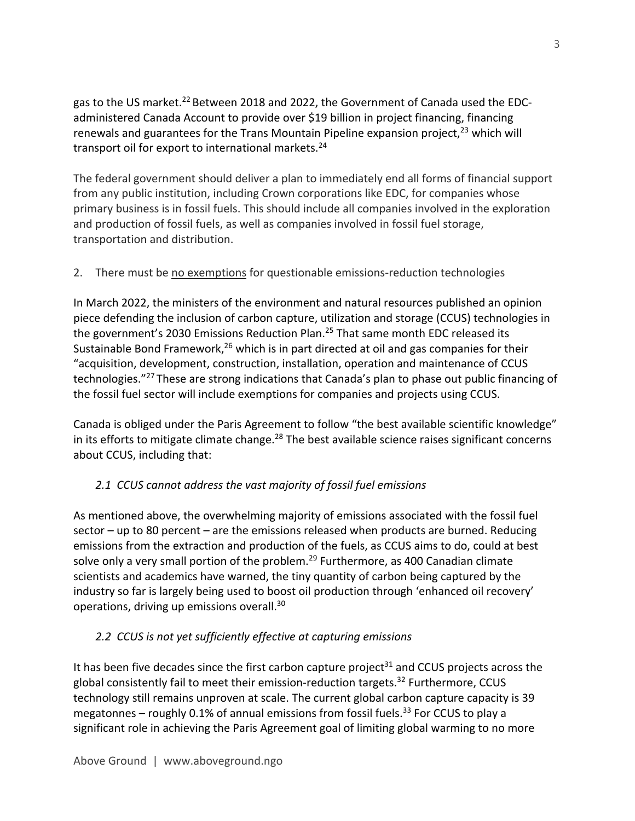gas to the US market.<sup>22</sup> Between 2018 and 2022, the Government of Canada used the EDCadministered Canada Account to provide over \$19 billion in project financing, financing renewals and guarantees for the Trans Mountain Pipeline expansion project, $23$  which will transport oil for export to international markets.<sup>24</sup>

The federal government should deliver a plan to immediately end all forms of financial support from any public institution, including Crown corporations like EDC, for companies whose primary business is in fossil fuels. This should include all companies involved in the exploration and production of fossil fuels, as well as companies involved in fossil fuel storage, transportation and distribution.

## 2. There must be no exemptions for questionable emissions-reduction technologies

In March 2022, the ministers of the environment and natural resources published an opinion piece defending the inclusion of carbon capture, utilization and storage (CCUS) technologies in the government's 2030 Emissions Reduction Plan.<sup>25</sup> That same month EDC released its Sustainable Bond Framework,  $26$  which is in part directed at oil and gas companies for their "acquisition, development, construction, installation, operation and maintenance of CCUS technologies."27 These are strong indications that Canada's plan to phase out public financing of the fossil fuel sector will include exemptions for companies and projects using CCUS.

Canada is obliged under the Paris Agreement to follow "the best available scientific knowledge" in its efforts to mitigate climate change.<sup>28</sup> The best available science raises significant concerns about CCUS, including that:

## *2.1 CCUS cannot address the vast majority of fossil fuel emissions*

As mentioned above, the overwhelming majority of emissions associated with the fossil fuel sector – up to 80 percent – are the emissions released when products are burned. Reducing emissions from the extraction and production of the fuels, as CCUS aims to do, could at best solve only a very small portion of the problem.<sup>29</sup> Furthermore, as 400 Canadian climate scientists and academics have warned, the tiny quantity of carbon being captured by the industry so far is largely being used to boost oil production through 'enhanced oil recovery' operations, driving up emissions overall.30

## *2.2 CCUS is not yet sufficiently effective at capturing emissions*

It has been five decades since the first carbon capture project<sup>31</sup> and CCUS projects across the global consistently fail to meet their emission-reduction targets.<sup>32</sup> Furthermore, CCUS technology still remains unproven at scale. The current global carbon capture capacity is 39 megatonnes – roughly 0.1% of annual emissions from fossil fuels.<sup>33</sup> For CCUS to play a significant role in achieving the Paris Agreement goal of limiting global warming to no more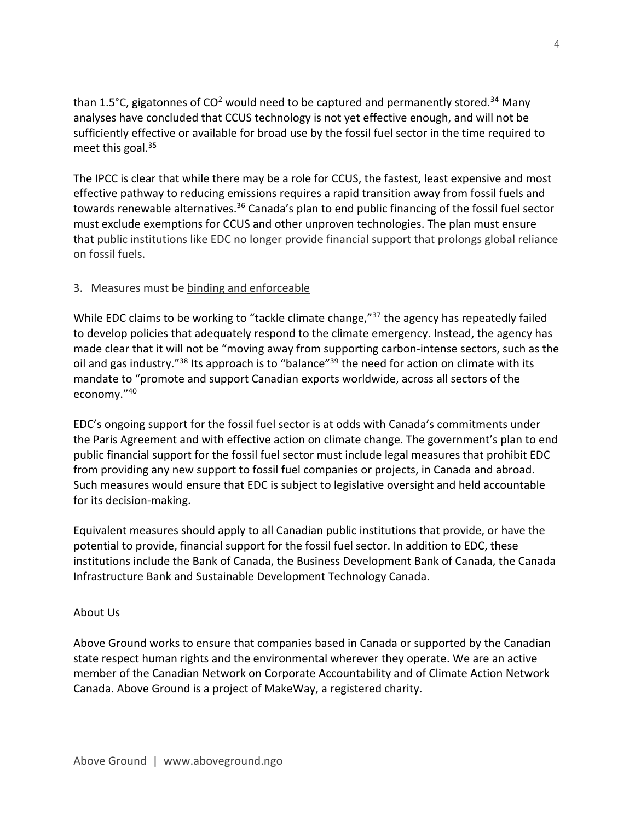than 1.5°C, gigatonnes of  $CO<sup>2</sup>$  would need to be captured and permanently stored.<sup>34</sup> Many analyses have concluded that CCUS technology is not yet effective enough, and will not be sufficiently effective or available for broad use by the fossil fuel sector in the time required to meet this goal. 35

The IPCC is clear that while there may be a role for CCUS, the fastest, least expensive and most effective pathway to reducing emissions requires a rapid transition away from fossil fuels and towards renewable alternatives.<sup>36</sup> Canada's plan to end public financing of the fossil fuel sector must exclude exemptions for CCUS and other unproven technologies. The plan must ensure that public institutions like EDC no longer provide financial support that prolongs global reliance on fossil fuels.

### 3. Measures must be binding and enforceable

While EDC claims to be working to "tackle climate change,"<sup>37</sup> the agency has repeatedly failed to develop policies that adequately respond to the climate emergency. Instead, the agency has made clear that it will not be "moving away from supporting carbon-intense sectors, such as the oil and gas industry."<sup>38</sup> Its approach is to "balance"<sup>39</sup> the need for action on climate with its mandate to "promote and support Canadian exports worldwide, across all sectors of the economy."40

EDC's ongoing support for the fossil fuel sector is at odds with Canada's commitments under the Paris Agreement and with effective action on climate change. The government's plan to end public financial support for the fossil fuel sector must include legal measures that prohibit EDC from providing any new support to fossil fuel companies or projects, in Canada and abroad. Such measures would ensure that EDC is subject to legislative oversight and held accountable for its decision-making.

Equivalent measures should apply to all Canadian public institutions that provide, or have the potential to provide, financial support for the fossil fuel sector. In addition to EDC, these institutions include the Bank of Canada, the Business Development Bank of Canada, the Canada Infrastructure Bank and Sustainable Development Technology Canada.

### About Us

Above Ground works to ensure that companies based in Canada or supported by the Canadian state respect human rights and the environmental wherever they operate. We are an active member of the Canadian Network on Corporate Accountability and of Climate Action Network Canada. Above Ground is a project of MakeWay, a registered charity.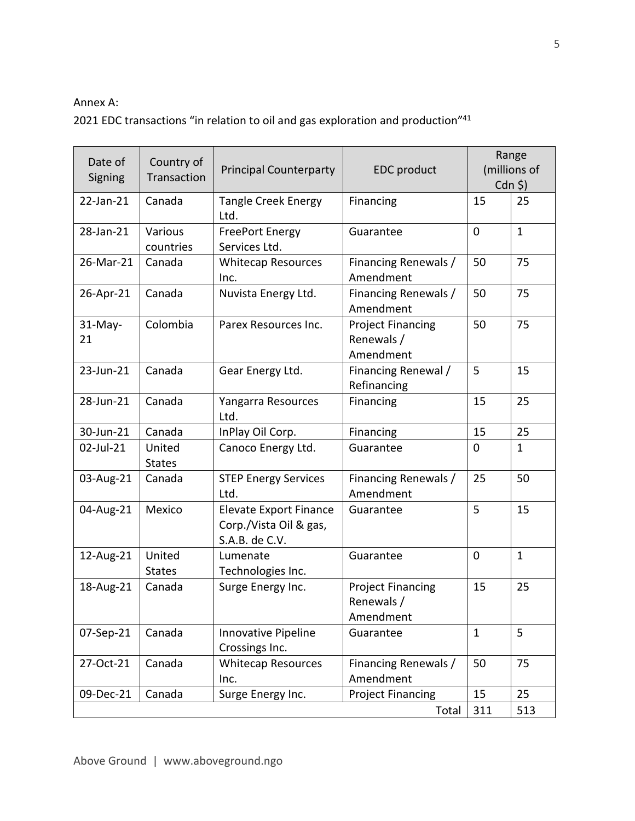#### Annex A:

2021 EDC transactions "in relation to oil and gas exploration and production"<sup>41</sup>

| Date of<br>Signing | Country of<br>Transaction | <b>Principal Counterparty</b>                                             | <b>EDC</b> product                                  | Range<br>(millions of<br>$Cdn$ \$) |              |
|--------------------|---------------------------|---------------------------------------------------------------------------|-----------------------------------------------------|------------------------------------|--------------|
| 22-Jan-21          | Canada                    | <b>Tangle Creek Energy</b><br>Ltd.                                        | Financing                                           | 15                                 | 25           |
| 28-Jan-21          | Various<br>countries      | <b>FreePort Energy</b><br>Services Ltd.                                   | Guarantee                                           | $\mathbf 0$                        | $\mathbf{1}$ |
| 26-Mar-21          | Canada                    | <b>Whitecap Resources</b><br>Inc.                                         | Financing Renewals /<br>Amendment                   | 50                                 | 75           |
| 26-Apr-21          | Canada                    | Nuvista Energy Ltd.                                                       | Financing Renewals /<br>Amendment                   | 50                                 | 75           |
| $31$ -May-<br>21   | Colombia                  | Parex Resources Inc.                                                      | <b>Project Financing</b><br>Renewals /<br>Amendment | 50                                 | 75           |
| 23-Jun-21          | Canada                    | Gear Energy Ltd.                                                          | Financing Renewal /<br>Refinancing                  | 5                                  | 15           |
| 28-Jun-21          | Canada                    | Yangarra Resources<br>Ltd.                                                | Financing                                           | 15                                 | 25           |
| 30-Jun-21          | Canada                    | InPlay Oil Corp.                                                          | Financing                                           | 15                                 | 25           |
| 02-Jul-21          | United<br><b>States</b>   | Canoco Energy Ltd.                                                        | Guarantee                                           | $\mathbf 0$                        | $\mathbf{1}$ |
| 03-Aug-21          | Canada                    | <b>STEP Energy Services</b><br>Ltd.                                       | Financing Renewals /<br>Amendment                   | 25                                 | 50           |
| 04-Aug-21          | Mexico                    | <b>Elevate Export Finance</b><br>Corp./Vista Oil & gas,<br>S.A.B. de C.V. | Guarantee                                           | 5                                  | 15           |
| 12-Aug-21          | United<br><b>States</b>   | Lumenate<br>Technologies Inc.                                             | Guarantee                                           | $\mathbf 0$                        | $\mathbf{1}$ |
| 18-Aug-21          | Canada                    | Surge Energy Inc.                                                         | <b>Project Financing</b><br>Renewals /<br>Amendment | 15                                 | 25           |
| 07-Sep-21          | Canada                    | Innovative Pipeline<br>Crossings Inc.                                     | Guarantee                                           | $\mathbf{1}$                       | 5            |
| 27-Oct-21          | Canada                    | <b>Whitecap Resources</b><br>Inc.                                         | Financing Renewals /<br>Amendment                   | 50                                 | 75           |
| 09-Dec-21          | Canada                    | Surge Energy Inc.                                                         | <b>Project Financing</b>                            | 15                                 | 25           |
| Total              |                           |                                                                           |                                                     | 311                                | 513          |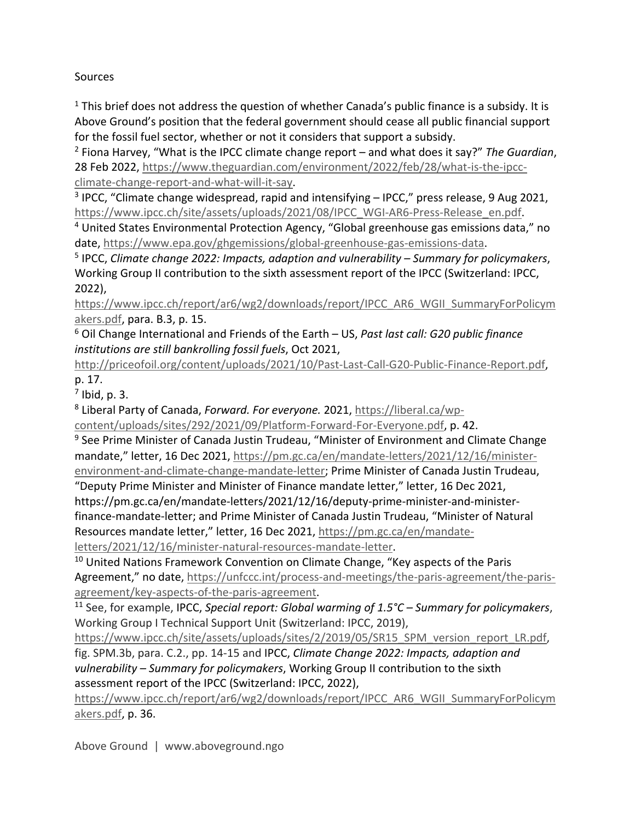**Sources** 

 $<sup>1</sup>$  This brief does not address the question of whether Canada's public finance is a subsidy. It is</sup> Above Ground's position that the federal government should cease all public financial support for the fossil fuel sector, whether or not it considers that support a subsidy.

<sup>2</sup> Fiona Harvey, "What is the IPCC climate change report – and what does it say?" *The Guardian*, 28 Feb 2022, https://www.theguardian.com/environment/2022/feb/28/what-is-the-ipccclimate-change-report-and-what-will-it-say.

<sup>3</sup> IPCC, "Climate change widespread, rapid and intensifying - IPCC," press release, 9 Aug 2021, https://www.ipcc.ch/site/assets/uploads/2021/08/IPCC\_WGI-AR6-Press-Release\_en.pdf.

<sup>4</sup> United States Environmental Protection Agency, "Global greenhouse gas emissions data," no date, https://www.epa.gov/ghgemissions/global-greenhouse-gas-emissions-data.

<sup>5</sup> IPCC, *Climate change 2022: Impacts, adaption and vulnerability – Summary for policymakers*, Working Group II contribution to the sixth assessment report of the IPCC (Switzerland: IPCC, 2022),

https://www.ipcc.ch/report/ar6/wg2/downloads/report/IPCC\_AR6\_WGII\_SummaryForPolicym akers.pdf, para. B.3, p. 15.

<sup>6</sup> Oil Change International and Friends of the Earth – US, *Past last call: G20 public finance institutions are still bankrolling fossil fuels*, Oct 2021,

http://priceofoil.org/content/uploads/2021/10/Past-Last-Call-G20-Public-Finance-Report.pdf, p. 17.

 $<sup>7</sup>$  Ibid, p. 3.</sup>

<sup>8</sup> Liberal Party of Canada, *Forward. For everyone.* 2021, https://liberal.ca/wp-

content/uploads/sites/292/2021/09/Platform-Forward-For-Everyone.pdf, p. 42.

<sup>9</sup> See Prime Minister of Canada Justin Trudeau, "Minister of Environment and Climate Change mandate," letter, 16 Dec 2021, https://pm.gc.ca/en/mandate-letters/2021/12/16/ministerenvironment-and-climate-change-mandate-letter; Prime Minister of Canada Justin Trudeau,

"Deputy Prime Minister and Minister of Finance mandate letter," letter, 16 Dec 2021, https://pm.gc.ca/en/mandate-letters/2021/12/16/deputy-prime-minister-and-ministerfinance-mandate-letter; and Prime Minister of Canada Justin Trudeau, "Minister of Natural Resources mandate letter," letter, 16 Dec 2021, https://pm.gc.ca/en/mandateletters/2021/12/16/minister-natural-resources-mandate-letter.

<sup>10</sup> United Nations Framework Convention on Climate Change, "Key aspects of the Paris Agreement," no date, https://unfccc.int/process-and-meetings/the-paris-agreement/the-parisagreement/key-aspects-of-the-paris-agreement.

<sup>11</sup> See, for example, IPCC, *Special report: Global warming of 1.5°C – Summary for policymakers*, Working Group I Technical Support Unit (Switzerland: IPCC, 2019),

https://www.ipcc.ch/site/assets/uploads/sites/2/2019/05/SR15\_SPM\_version\_report\_LR.pdf, fig. SPM.3b, para. C.2., pp. 14-15 and IPCC, *Climate Change 2022: Impacts, adaption and vulnerability – Summary for policymakers*, Working Group II contribution to the sixth assessment report of the IPCC (Switzerland: IPCC, 2022),

https://www.ipcc.ch/report/ar6/wg2/downloads/report/IPCC\_AR6\_WGII\_SummaryForPolicym akers.pdf, p. 36.

Above Ground | www.aboveground.ngo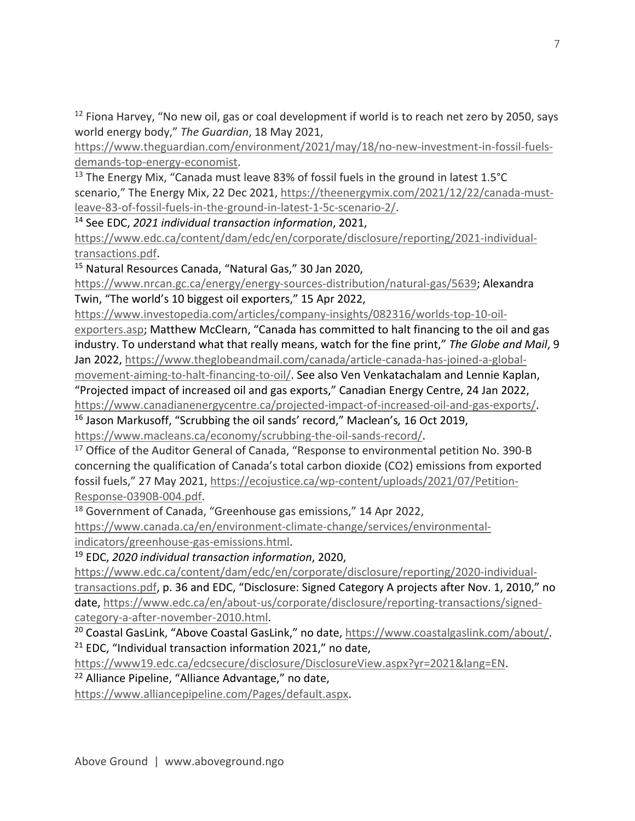<sup>12</sup> Fiona Harvey, "No new oil, gas or coal development if world is to reach net zero by 2050, says world energy body," *The Guardian*, 18 May 2021,

https://www.theguardian.com/environment/2021/may/18/no-new-investment-in-fossil-fuelsdemands-top-energy-economist.

<sup>13</sup> The Energy Mix, "Canada must leave 83% of fossil fuels in the ground in latest  $1.5^{\circ}$ C scenario," The Energy Mix, 22 Dec 2021, https://theenergymix.com/2021/12/22/canada-mustleave-83-of-fossil-fuels-in-the-ground-in-latest-1-5c-scenario-2/.

<sup>14</sup> See EDC, *2021 individual transaction information*, 2021,

https://www.edc.ca/content/dam/edc/en/corporate/disclosure/reporting/2021-individualtransactions.pdf.

<sup>15</sup> Natural Resources Canada, "Natural Gas," 30 Jan 2020,

https://www.nrcan.gc.ca/energy/energy-sources-distribution/natural-gas/5639; Alexandra Twin, "The world's 10 biggest oil exporters," 15 Apr 2022,

https://www.investopedia.com/articles/company-insights/082316/worlds-top-10-oil-

exporters.asp; Matthew McClearn, "Canada has committed to halt financing to the oil and gas industry. To understand what that really means, watch for the fine print," *The Globe and Mail*, 9 Jan 2022, https://www.theglobeandmail.com/canada/article-canada-has-joined-a-global-

movement-aiming-to-halt-financing-to-oil/. See also Ven Venkatachalam and Lennie Kaplan, "Projected impact of increased oil and gas exports," Canadian Energy Centre, 24 Jan 2022, https://www.canadianenergycentre.ca/projected-impact-of-increased-oil-and-gas-exports/.

<sup>16</sup> Jason Markusoff, "Scrubbing the oil sands' record," Maclean's*,* 16 Oct 2019, https://www.macleans.ca/economy/scrubbing-the-oil-sands-record/.

<sup>17</sup> Office of the Auditor General of Canada, "Response to environmental petition No. 390-B concerning the qualification of Canada's total carbon dioxide (CO2) emissions from exported fossil fuels," 27 May 2021, https://ecojustice.ca/wp-content/uploads/2021/07/Petition-Response-0390B-004.pdf.

<sup>18</sup> Government of Canada, "Greenhouse gas emissions," 14 Apr 2022,

https://www.canada.ca/en/environment-climate-change/services/environmentalindicators/greenhouse-gas-emissions.html. 19 EDC, *2020 individual transaction information*, 2020,

https://www.edc.ca/content/dam/edc/en/corporate/disclosure/reporting/2020-individualtransactions.pdf, p. 36 and EDC, "Disclosure: Signed Category A projects after Nov. 1, 2010," no date, https://www.edc.ca/en/about-us/corporate/disclosure/reporting-transactions/signedcategory-a-after-november-2010.html.

<sup>20</sup> Coastal GasLink, "Above Coastal GasLink," no date, https://www.coastalgaslink.com/about/.  $21$  EDC, "Individual transaction information 2021," no date,

https://www19.edc.ca/edcsecure/disclosure/DisclosureView.aspx?yr=2021&lang=EN.

<sup>22</sup> Alliance Pipeline, "Alliance Advantage," no date,

https://www.alliancepipeline.com/Pages/default.aspx.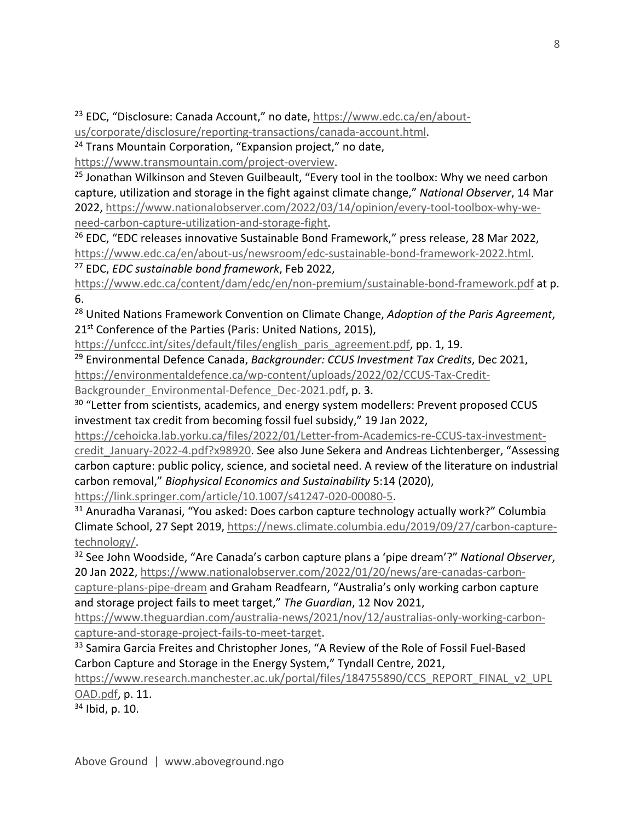<sup>23</sup> EDC, "Disclosure: Canada Account," no date, https://www.edc.ca/en/about-

us/corporate/disclosure/reporting-transactions/canada-account.html.

<sup>24</sup> Trans Mountain Corporation, "Expansion project," no date,

https://www.transmountain.com/project-overview.

 $25$  Jonathan Wilkinson and Steven Guilbeault, "Every tool in the toolbox: Why we need carbon capture, utilization and storage in the fight against climate change," *National Observer*, 14 Mar 2022, https://www.nationalobserver.com/2022/03/14/opinion/every-tool-toolbox-why-weneed-carbon-capture-utilization-and-storage-fight.

<sup>26</sup> EDC, "EDC releases innovative Sustainable Bond Framework," press release, 28 Mar 2022, https://www.edc.ca/en/about-us/newsroom/edc-sustainable-bond-framework-2022.html.

<sup>27</sup> EDC, *EDC sustainable bond framework*, Feb 2022,

https://www.edc.ca/content/dam/edc/en/non-premium/sustainable-bond-framework.pdf at p. 6.

<sup>28</sup> United Nations Framework Convention on Climate Change, *Adoption of the Paris Agreement*, 21<sup>st</sup> Conference of the Parties (Paris: United Nations, 2015),

https://unfccc.int/sites/default/files/english paris agreement.pdf, pp. 1, 19.

<sup>29</sup> Environmental Defence Canada, *Backgrounder: CCUS Investment Tax Credits*, Dec 2021, https://environmentaldefence.ca/wp-content/uploads/2022/02/CCUS-Tax-Credit-Backgrounder Environmental-Defence Dec-2021.pdf, p. 3.

<sup>30</sup> "Letter from scientists, academics, and energy system modellers: Prevent proposed CCUS investment tax credit from becoming fossil fuel subsidy," 19 Jan 2022,

https://cehoicka.lab.yorku.ca/files/2022/01/Letter-from-Academics-re-CCUS-tax-investment-

credit\_January-2022-4.pdf?x98920. See also June Sekera and Andreas Lichtenberger, "Assessing carbon capture: public policy, science, and societal need. A review of the literature on industrial carbon removal," *Biophysical Economics and Sustainability* 5:14 (2020),

https://link.springer.com/article/10.1007/s41247-020-00080-5.

<sup>31</sup> Anuradha Varanasi, "You asked: Does carbon capture technology actually work?" Columbia Climate School, 27 Sept 2019, https://news.climate.columbia.edu/2019/09/27/carbon-capturetechnology/.

<sup>32</sup> See John Woodside, "Are Canada's carbon capture plans a 'pipe dream'?" *National Observer*, 20 Jan 2022, https://www.nationalobserver.com/2022/01/20/news/are-canadas-carbon-

capture-plans-pipe-dream and Graham Readfearn, "Australia's only working carbon capture and storage project fails to meet target," *The Guardian*, 12 Nov 2021,

https://www.theguardian.com/australia-news/2021/nov/12/australias-only-working-carboncapture-and-storage-project-fails-to-meet-target.

<sup>33</sup> Samira Garcia Freites and Christopher Jones, "A Review of the Role of Fossil Fuel-Based Carbon Capture and Storage in the Energy System," Tyndall Centre, 2021,

https://www.research.manchester.ac.uk/portal/files/184755890/CCS\_REPORT\_FINAL\_v2\_UPL OAD.pdf, p. 11.

 $34$  Ibid, p. 10.